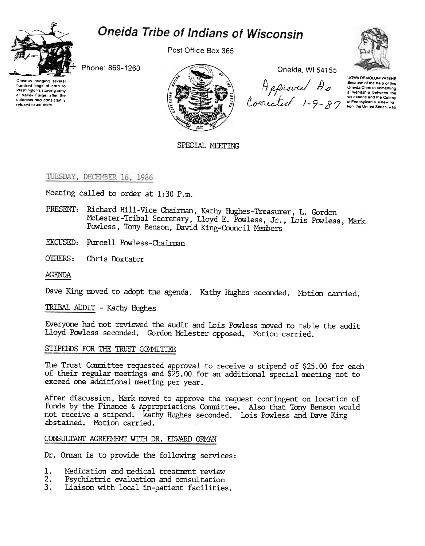# Oneida Tribe of Indians of Wisconsin



Post Office Box 365



Phone: 869-1260

Oneidas bringing several hundred bags of corn to Washington's starving army at Valley Forge, after the colonists had consistently refused to aid them



Oneida, WI 54155

Appleved Appleved a the help of the community of the problem of the property of the Change of the Change of the Change of the Change of the Change of the Change of the Change of the Change of the Change of the Change of t

UGWA DEMOLUM YATEHE

SPECIAL MEETING

TUESDAY, DECEMBER 16, 1986

Meeting called to order at 1:30 P.m.

- PRESENT: Richard Hill-Vice Chairman, Kathy Hughes-Treasurer, L. Gordon McLester-Tribal Secretary, Lloyd E. Powless, Jr., Lois Powless, Mark Powless, Tony Benson, David King-Council Members
- EXCUSED: Purcell Powless-Chairman
- OTHERS: Chris Doxtator

**AGENDA** 

Dave King moved to adopt the agenda. Kathy Hughes seconded. Motion carried.

TRIBAL AUDIT - Kathy Hughes

Everyone had not reviewed the audit and Lois Powless moved to table the audit Lloyd Powless seconded. Gordon McLester opposed. Motion carried.

## STIPENDS FOR THE TRUST COMMITTEE

The Trust Committee requested approval to receive a stipend of \$25.00 for each of their regular meetings and \$25.00 for an additional special meeting not to exceed one additional meeting per year.

After discussion, Mark moved to approve the request contingent on location of funds by the Finance & Appropriations Committee. Also that Tony Benson would not receive a stipend. Kathy Hughes seconded. Lois Powless and Dave King abstained. Motion carried.

## CONSULTANT AGREEMENT WITH DR. EDWARD ORMAN

Dr. Orman is to provide the following services:

- 1. Medication and medical treatment review
- $2.$ Psychiatric evaluation and consultation
- $3.$ Liaison with local in-patient facilities.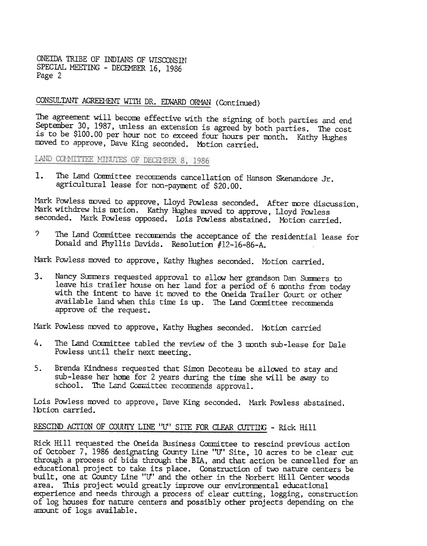ONEIDA TRIBE OF INDIANS OF WISCONSTN SPECIAL MEETING - DECEMBER 16, 1986 Page 2

# CONSULTANT AGREEL" ENT WITH DR. EDWARD ORMAN (Continued)

The agreenent will becone effective with the signing of both parties and end September 30, 1987, unless an extension is agreed by both parties. The cost is to be \$100.00 per hour not to exceed four hours per mnth. Kathy Hughes moved to approve, Dave King seconded. Motion carried.

LAND COMMITTEE MINUTES OF DECEMBER 8, 1986

1. The Land Committee recommends cancellation of Hanson Skenandore Jr. agricultural lease for non-payuent of \$20.00.

Mark Powless moved to approve, Lloyd Powless seconded. After more discussion, Mark withdrew his motion. Kathy Hughes moved to approve, Lloyd Powless seconded. Mark Powless opposed. Lois Powless abstained. Motion carried.

? The Land Committee recommends the acceptance of the residential lease for Donald and Phyllis Davids. Resolution #12-16-86-A.

Mark Powless moved to approve, Kathy Hughes seconded. Motion carried.

Nancy Summers requested approval to allow her grandson Dan Summers to leave his trailer house on her land for a period of 6 months from today with the intent to have it moved to the Oneida Trailer Court or other available land when this time is up. The Land Committee recommends approve of the request.

Mark Powless moved to approve, Kathy Hughes seconded. Motion carried

- 4. The Land Committee tabled the review of the 3 month sub-lease for Dale Powless until their next meeting.
- sub-lease her home for 2 years during the time she will be away to school. The Land Committee recommends approval.

Lois Powless moved to approve, Dave King seconded. Mark Powless abstaine Notion carried.

# RESCIND ACTION OF COUNTY LINE "U" SITE FOR CLEAR CUTTING - Rick Hill

3. Nearcy Summers requested approval to allow her grandson Dan Summers to with the intent to buye it moved to the Oneida Trailer Count or cheme approve of the request.<br>
Which the intent to buye it moved to the Oneida Trai 5. Brenda Kindness requested that Simon Decoteau be allowed to stay and sub-lease her home for 2 years during the time she will be away to school. The Land Committee recommends approval.<br>Lois Powless moved to approve, Dave Rick Hill requested the Oneida Business Committee to rescind previous action of October 7, 1986 designating County Line '1f' Site, 10 acres to be clear cut through a process of bids through the BIA, and that action be cancelled for an educational project to take its place. Construction of two nature centers be built, one at County Line "U" and the other in the furbert Hill center woods area. This project would greatly improve our environmental educational experience and needs through a process of clear cutting, logging, construction of log houses for nature centers and possibly other projects depending on the amount of logs available.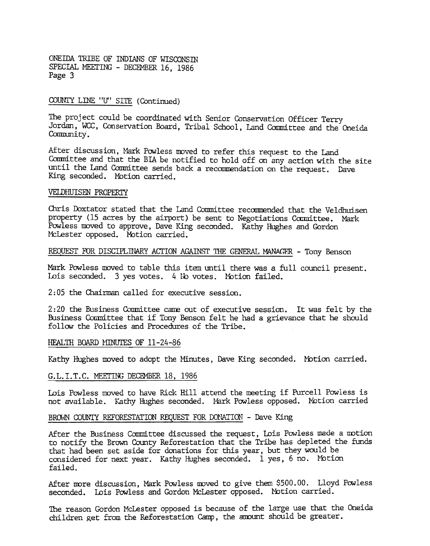ONEffiA TRIBE OF INDIANS OF WISCONSIN SPECIAL MEETING - DECEMBER 16, 1986 Page 3

#### COUNI'Y LINE "U" SITE (Continued)

The project could be coordinated with Senior Conservation Officer Terry Jordan, WCC, Conservation Board, Tribal School, Land Committee and the Oneida Community.

After discussion, Mark Powless moved to refer this request to the Land Committee and that the BIA be notified to hold off on any action with the site until the Land Committee sends badk a recommendation on the request. Dave King seconded. MOtion carried.

#### VElDHUISEN PROPERTY

Chris Doxtator stated that the Land Committee recommended that the Veldhuisen property (15 acres by the airport) be sent to Negotiations Committee. Mark Powless moved to approve, Dave King seconded. Kathy Hughes and Gordon McLester opposed. Motion carried.

# REQUEST FOR DISCIPLINARY ACTION AGAINST THE GENERAL MANAGER - Tony Benson

Mark Powless moved to table this item until there was a full council present. Lois seconded. 3 yes votes. 4 No votes. Motion failed.

2: 05 the Chairman called for executive session.

2:20 the Business Committee carne out of executive session. It was felt by the Business Committee that if Tony Benson felt he had a grievance that he should follow the Policies and Procedures of the Tribe.

# <u>HEALTH BOARD MINUTES OF 11-24-8</u>

Kathy Hughes moved to adopt the Minutes, Dave King seconded. Motion carried.

#### G.L.I.T.C. MEETING DECEMBER 18, 1986

Lois Powless moved to have Rick Hill attend the meeting if Purcell Powless is not available. Kathy Hughes seconded. Mark Powless opposed. Motion carried

#### BROWN COUNTY REFORESTATION REQUEST FOR DONATION - Dave King

After the Business Committee discussed the request, Lois Powless made a motion to notify the Brown County Reforestation that the Tribe has depleted the funds that had been set aside for donations for this year, but they would be considered for next year. Kathy Hughes seconded. 1 yes, 6 no. Motion failed.

After more discussion, Mark Powless moved to give them \$500.00. Lloyd Powless seconded. Lois Powless and Gordon McLester opposed. Motion carried.

The reason Gordon McLester opposed is because of the large use that the Oneida children get from the Reforestation Camp, the amount should be greater.